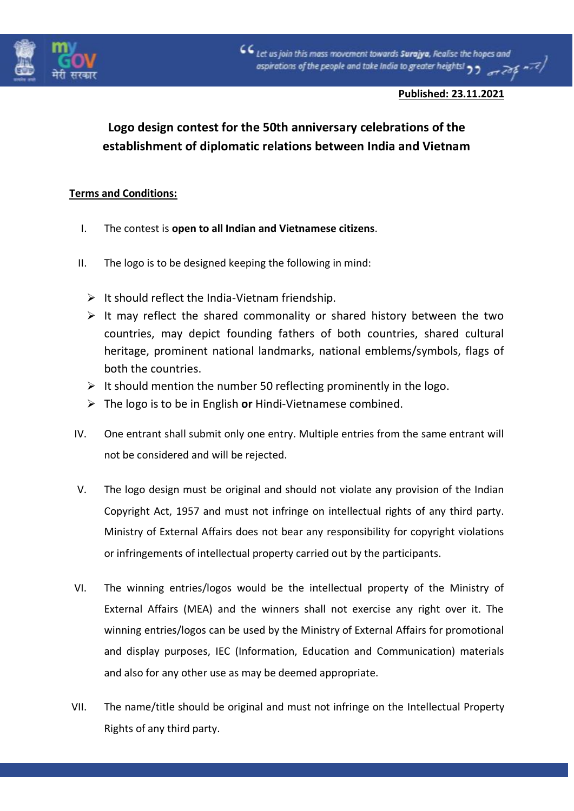

## **Published: 23.11.2021**

## **Logo design contest for the 50th anniversary celebrations of the establishment of diplomatic relations between India and Vietnam**

## **Terms and Conditions:**

- I. The contest is **open to all Indian and Vietnamese citizens**.
- II. The logo is to be designed keeping the following in mind:
	- $\triangleright$  It should reflect the India-Vietnam friendship.
	- $\triangleright$  It may reflect the shared commonality or shared history between the two countries, may depict founding fathers of both countries, shared cultural heritage, prominent national landmarks, national emblems/symbols, flags of both the countries.
	- $\triangleright$  It should mention the number 50 reflecting prominently in the logo.
	- ➢ The logo is to be in English **or** Hindi-Vietnamese combined.
- IV. One entrant shall submit only one entry. Multiple entries from the same entrant will not be considered and will be rejected.
- V. The logo design must be original and should not violate any provision of the Indian Copyright Act, 1957 and must not infringe on intellectual rights of any third party. Ministry of External Affairs does not bear any responsibility for copyright violations or infringements of intellectual property carried out by the participants.
- VI. The winning entries/logos would be the intellectual property of the Ministry of External Affairs (MEA) and the winners shall not exercise any right over it. The winning entries/logos can be used by the Ministry of External Affairs for promotional and display purposes, IEC (Information, Education and Communication) materials and also for any other use as may be deemed appropriate.
- VII. The name/title should be original and must not infringe on the Intellectual Property Rights of any third party.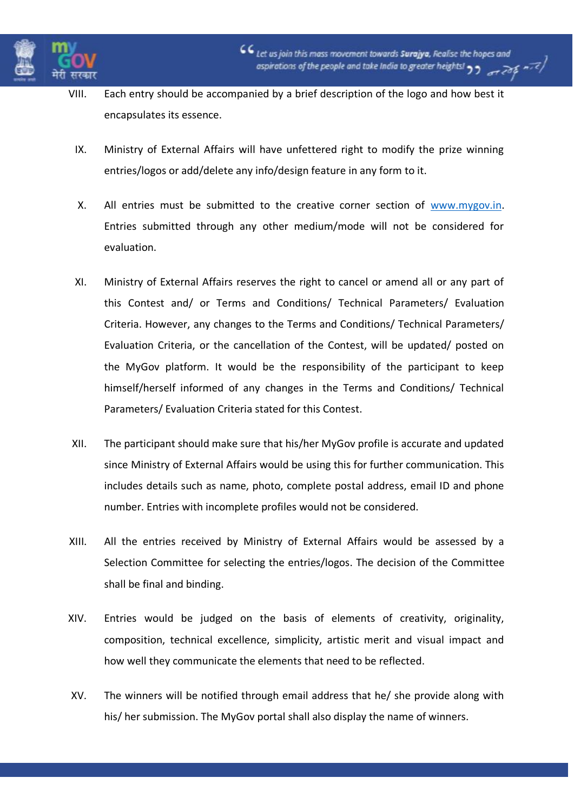

- VIII. Each entry should be accompanied by a brief description of the logo and how best it encapsulates its essence.
	- IX. Ministry of External Affairs will have unfettered right to modify the prize winning entries/logos or add/delete any info/design feature in any form to it.
	- X. All entries must be submitted to the creative corner section of [www.mygov.in.](http://www.mygov.in/) Entries submitted through any other medium/mode will not be considered for evaluation.
	- XI. Ministry of External Affairs reserves the right to cancel or amend all or any part of this Contest and/ or Terms and Conditions/ Technical Parameters/ Evaluation Criteria. However, any changes to the Terms and Conditions/ Technical Parameters/ Evaluation Criteria, or the cancellation of the Contest, will be updated/ posted on the MyGov platform. It would be the responsibility of the participant to keep himself/herself informed of any changes in the Terms and Conditions/ Technical Parameters/ Evaluation Criteria stated for this Contest.
- XII. The participant should make sure that his/her MyGov profile is accurate and updated since Ministry of External Affairs would be using this for further communication. This includes details such as name, photo, complete postal address, email ID and phone number. Entries with incomplete profiles would not be considered.
- XIII. All the entries received by Ministry of External Affairs would be assessed by a Selection Committee for selecting the entries/logos. The decision of the Committee shall be final and binding.
- XIV. Entries would be judged on the basis of elements of creativity, originality, composition, technical excellence, simplicity, artistic merit and visual impact and how well they communicate the elements that need to be reflected.
- XV. The winners will be notified through email address that he/ she provide along with his/ her submission. The MyGov portal shall also display the name of winners.